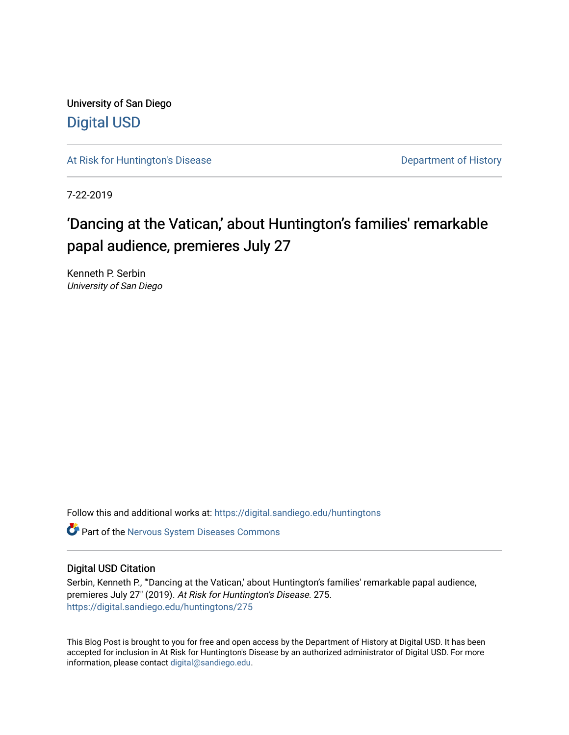University of San Diego [Digital USD](https://digital.sandiego.edu/)

[At Risk for Huntington's Disease](https://digital.sandiego.edu/huntingtons) **Department of History** Department of History

7-22-2019

# 'Dancing at the Vatican,' about Huntington's families' remarkable papal audience, premieres July 27

Kenneth P. Serbin University of San Diego

Follow this and additional works at: [https://digital.sandiego.edu/huntingtons](https://digital.sandiego.edu/huntingtons?utm_source=digital.sandiego.edu%2Fhuntingtons%2F275&utm_medium=PDF&utm_campaign=PDFCoverPages)

**C** Part of the [Nervous System Diseases Commons](http://network.bepress.com/hgg/discipline/928?utm_source=digital.sandiego.edu%2Fhuntingtons%2F275&utm_medium=PDF&utm_campaign=PDFCoverPages)

## Digital USD Citation

Serbin, Kenneth P., "'Dancing at the Vatican,' about Huntington's families' remarkable papal audience, premieres July 27" (2019). At Risk for Huntington's Disease. 275. [https://digital.sandiego.edu/huntingtons/275](https://digital.sandiego.edu/huntingtons/275?utm_source=digital.sandiego.edu%2Fhuntingtons%2F275&utm_medium=PDF&utm_campaign=PDFCoverPages)

This Blog Post is brought to you for free and open access by the Department of History at Digital USD. It has been accepted for inclusion in At Risk for Huntington's Disease by an authorized administrator of Digital USD. For more information, please contact [digital@sandiego.edu.](mailto:digital@sandiego.edu)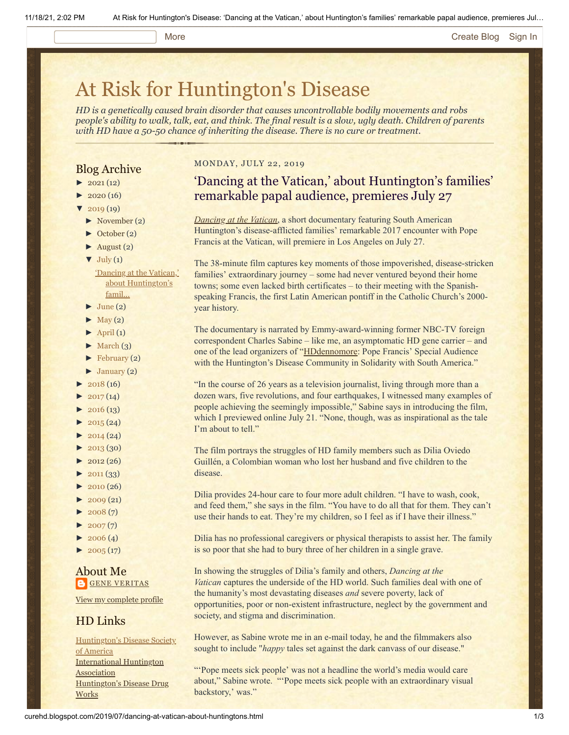#### More **[Create Blog](https://www.blogger.com/home#create) [Sign In](https://www.blogger.com/)**

# [At Risk for Huntington's Disease](http://curehd.blogspot.com/)

*HD is a genetically caused brain disorder that causes uncontrollable bodily movements and robs people's ability to walk, talk, eat, and think. The final result is a slow, ugly death. Children of parents with HD have a 50-50 chance of inheriting the disease. There is no cure or treatment.*

### Blog Archive

- $\blacktriangleright$  [2021](http://curehd.blogspot.com/2021/)(12)
- $2020(16)$  $2020(16)$
- $2019(19)$  $2019(19)$
- [►](javascript:void(0)) [November](http://curehd.blogspot.com/2019/11/) (2)
- [►](javascript:void(0)) [October](http://curehd.blogspot.com/2019/10/) (2)
- $\blacktriangleright$  [August](http://curehd.blogspot.com/2019/08/) (2)
- $\nabla$  [July](http://curehd.blogspot.com/2019/07/) (1)
	- 'Dancing at the Vatican,' about [Huntington's](http://curehd.blogspot.com/2019/07/dancing-at-vatican-about-huntingtons.html) famil...
- $\blacktriangleright$  [June](http://curehd.blogspot.com/2019/06/) (2)
- $\blacktriangleright$  [May](http://curehd.blogspot.com/2019/05/) (2)
- $\blacktriangleright$  [April](http://curehd.blogspot.com/2019/04/) (1)
- $\blacktriangleright$  [March](http://curehd.blogspot.com/2019/03/) (3)
- $\blacktriangleright$  [February](http://curehd.blogspot.com/2019/02/) (2)
- $\blacktriangleright$  [January](http://curehd.blogspot.com/2019/01/) (2)
- $2018(16)$  $2018(16)$
- $2017(14)$  $2017(14)$
- $\blacktriangleright$  [2016](http://curehd.blogspot.com/2016/) (13)
- $2015(24)$  $2015(24)$
- $\blacktriangleright$  [2014](http://curehd.blogspot.com/2014/) (24)
- $\blacktriangleright$  [2013](http://curehd.blogspot.com/2013/) (30)
- $\blacktriangleright$  [2012](http://curehd.blogspot.com/2012/) (26)
- $\blacktriangleright$  [2011](http://curehd.blogspot.com/2011/) (33)
- $\blacktriangleright$  [2010](http://curehd.blogspot.com/2010/) (26)
- $\blacktriangleright$  [2009](http://curehd.blogspot.com/2009/) (21)
- $\blacktriangleright$  [2008](http://curehd.blogspot.com/2008/) $(7)$
- $\blacktriangleright$  [2007](http://curehd.blogspot.com/2007/)(7)
- $\blacktriangleright$  [2006](http://curehd.blogspot.com/2006/) (4)
- $2005(17)$  $2005(17)$

## About Me **GENE [VERITAS](https://www.blogger.com/profile/10911736205741688185)**

View my [complete](https://www.blogger.com/profile/10911736205741688185) profile

## HD Links

[Huntington's](http://www.hdsa.org/) Disease Society of America [International](http://www.huntington-assoc.com/) Huntington **Association** [Huntington's](http://hddrugworks.org/) Disease Drug **Works** 

#### MONDAY, JULY 22, 2019

# 'Dancing at the Vatican,' about Huntington's families' remarkable papal audience, premieres July 27

*[Dancing at the Vatican](https://www.dancingatthevatican.com/)*, a short documentary featuring South American Huntington's disease-afflicted families' remarkable 2017 encounter with Pope Francis at the Vatican, will premiere in Los Angeles on July 27.

The 38-minute film captures key moments of those impoverished, disease-stricken families' extraordinary journey – some had never ventured beyond their home towns; some even lacked birth certificates – to their meeting with the Spanishspeaking Francis, the first Latin American pontiff in the Catholic Church's 2000 year history.

The documentary is narrated by Emmy-award-winning former NBC-TV foreign correspondent Charles Sabine – like me, an asymptomatic HD gene carrier – and one of the lead organizers of "[HDdennomore](http://hddennomore.com/): Pope Francis' Special Audience with the Huntington's Disease Community in Solidarity with South America."

"In the course of 26 years as a television journalist, living through more than a dozen wars, five revolutions, and four earthquakes, I witnessed many examples of people achieving the seemingly impossible," Sabine says in introducing the film, which I previewed online July 21. "None, though, was as inspirational as the tale I'm about to tell."

The film portrays the struggles of HD family members such as Dilia Oviedo Guillén, a Colombian woman who lost her husband and five children to the disease.

Dilia provides 24-hour care to four more adult children. "I have to wash, cook, and feed them," she says in the film. "You have to do all that for them. They can't use their hands to eat. They're my children, so I feel as if I have their illness."

Dilia has no professional caregivers or physical therapists to assist her. The family is so poor that she had to bury three of her children in a single grave.

In showing the struggles of Dilia's family and others, *Dancing at the Vatican* captures the underside of the HD world. Such families deal with one of the humanity's most devastating diseases *and* severe poverty, lack of opportunities, poor or non-existent infrastructure, neglect by the government and society, and stigma and discrimination.

However, as Sabine wrote me in an e-mail today, he and the filmmakers also sought to include "*happy* tales set against the dark canvass of our disease."

"'Pope meets sick people' was not a headline the world's media would care about," Sabine wrote. "'Pope meets sick people with an extraordinary visual backstory,' was."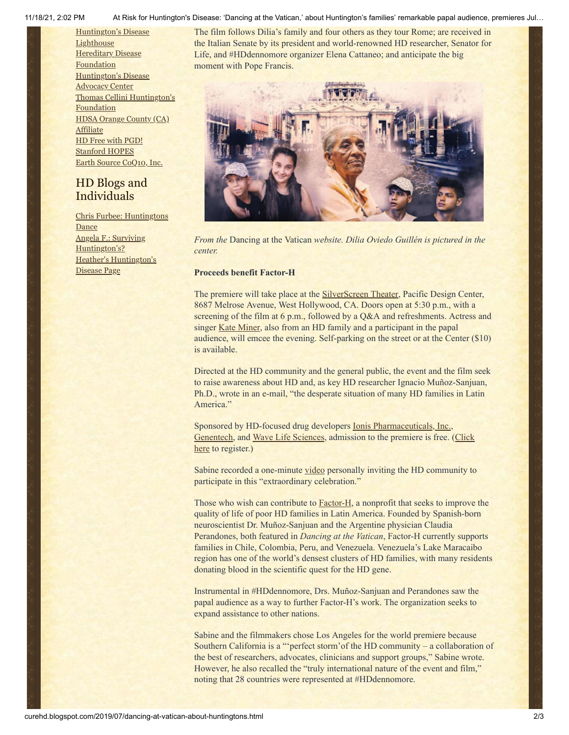11/18/21, 2:02 PM At Risk for Huntington's Disease: 'Dancing at the Vatican,' about Huntington's families' remarkable papal audience, premieres Jul…

[Huntington's](http://www.hdlighthouse.org/) Disease **Lighthouse Hereditary Disease** [Foundation](http://www.hdfoundation.org/) [Huntington's](http://www.hdac.org/) Disease Advocacy Center Thomas [Cellini Huntington's](http://www.ourtchfoundation.org/) **Foundation** HDSA [Orange](http://www.hdsaoc.org/) County (CA) Affiliate HD Free with [PGD!](http://www.hdfreewithpgd.com/) [Stanford](http://www.stanford.edu/group/hopes/) HOPES Earth Source [CoQ10,](http://www.escoq10.com/) Inc.

# HD Blogs and Individuals

Chris Furbee: [Huntingtons](http://www.huntingtonsdance.org/) Dance Angela F.: Surviving [Huntington's?](http://survivinghuntingtons.blogspot.com/) Heather's [Huntington's](http://heatherdugdale.angelfire.com/) Disease Page

The film follows Dilia's family and four others as they tour Rome; are received in the Italian Senate by its president and world-renowned HD researcher, Senator for Life, and #HDdennomore organizer Elena Cattaneo; and anticipate the big moment with Pope Francis.



*From the* Dancing at the Vatican *website. Dilia Oviedo Guillén is pictured in the center.*

#### **Proceeds benefit Factor-H**

The premiere will take place at the **SilverScreen Theater**, Pacific Design Center, 8687 Melrose Avenue, West Hollywood, CA. Doors open at 5:30 p.m., with a screening of the film at 6 p.m., followed by a Q&A and refreshments. Actress and singer [Kate Miner,](https://www.imdb.com/name/nm1567202/) also from an HD family and a participant in the papal audience, will emcee the evening. Self-parking on the street or at the Center (\$10) is available.

Directed at the HD community and the general public, the event and the film seek to raise awareness about HD and, as key HD researcher Ignacio Muñoz-Sanjuan, Ph.D., wrote in an e-mail, "the desperate situation of many HD families in Latin America."

Sponsored by HD-focused drug developers [Ionis Pharmaceuticals, Inc.,](https://www.ionispharma.com/) [Genentech](https://www.gene.com/)[, and](https://www.eventbrite.com/e/dancing-at-the-vatican-registration-63362756711) [Wave Life Science](https://www.wavelifesciences.com/)[s, admission to the premiere is free. \(Click](https://www.eventbrite.com/e/dancing-at-the-vatican-registration-63362756711) here to register.)

Sabine recorded a one-minute [video](https://drive.google.com/file/d/1BdO8pei_qWhScnU4nWn8we9mzTEjReih/view) personally inviting the HD community to participate in this "extraordinary celebration."

Those who wish can contribute to **Factor-H**, a nonprofit that seeks to improve the quality of life of poor HD families in Latin America. Founded by Spanish-born neuroscientist Dr. Muñoz-Sanjuan and the Argentine physician Claudia Perandones, both featured in *Dancing at the Vatican*, Factor-H currently supports families in Chile, Colombia, Peru, and Venezuela. Venezuela's Lake Maracaibo region has one of the world's densest clusters of HD families, with many residents donating blood in the scientific quest for the HD gene.

Instrumental in #HDdennomore, Drs. Muñoz-Sanjuan and Perandones saw the papal audience as a way to further Factor-H's work. The organization seeks to expand assistance to other nations.

Sabine and the filmmakers chose Los Angeles for the world premiere because Southern California is a "'perfect storm'of the HD community – a collaboration of the best of researchers, advocates, clinicians and support groups," Sabine wrote. However, he also recalled the "truly international nature of the event and film," noting that 28 countries were represented at #HDdennomore.